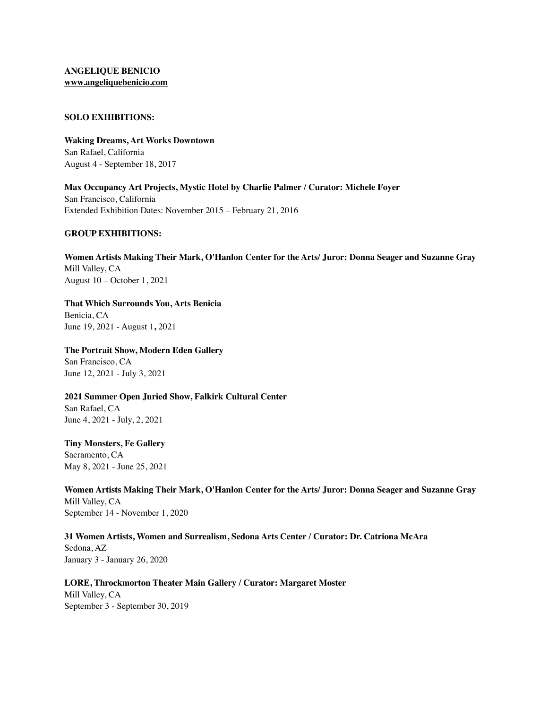## **ANGELIQUE BENICIO [www.angeliquebenicio.com](http://www.angeliquebenicio.com)**

#### **SOLO EXHIBITIONS:**

**Waking Dreams, Art Works Downtown** San Rafael, California August 4 - September 18, 2017

**Max Occupancy Art Projects, Mystic Hotel by Charlie Palmer / Curator: Michele Foyer** San Francisco, California Extended Exhibition Dates: November 2015 – February 21, 2016

#### **GROUP EXHIBITIONS:**

**Women Artists Making Their Mark, O'Hanlon Center for the Arts/ Juror: Donna Seager and Suzanne Gray** Mill Valley, CA August 10 – October 1, 2021

# **That Which Surrounds You, Arts Benicia**

Benicia, CA June 19, 2021 - August 1**,** 2021

## **The Portrait Show, Modern Eden Gallery**

San Francisco, CA June 12, 2021 - July 3, 2021

# **2021 Summer Open Juried Show, Falkirk Cultural Center**

San Rafael, CA June 4, 2021 - July, 2, 2021

# **Tiny Monsters, Fe Gallery**

Sacramento, CA May 8, 2021 - June 25, 2021

**Women Artists Making Their Mark, O'Hanlon Center for the Arts/ Juror: Donna Seager and Suzanne Gray** Mill Valley, CA September 14 - November 1, 2020

## **31 Women Artists, Women and Surrealism, Sedona Arts Center / Curator: Dr. Catriona McAra**

Sedona, AZ January 3 - January 26, 2020

**LORE, Throckmorton Theater Main Gallery / Curator: Margaret Moster** Mill Valley, CA September 3 - September 30, 2019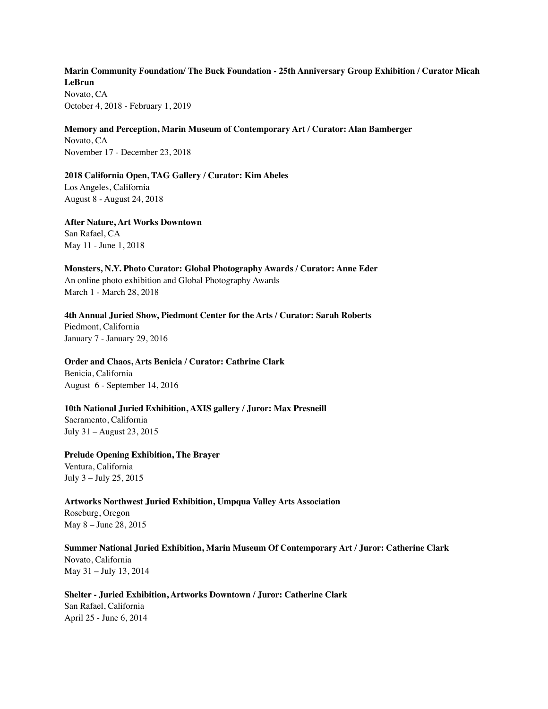# **Marin Community Foundation/ The Buck Foundation - 25th Anniversary Group Exhibition / Curator Micah LeBrun** Novato, CA

October 4, 2018 - February 1, 2019

# **Memory and Perception, Marin Museum of Contemporary Art / Curator: Alan Bamberger**

Novato, CA November 17 - December 23, 2018

# **2018 California Open, TAG Gallery / Curator: Kim Abeles**

Los Angeles, California August 8 - August 24, 2018

**After Nature, Art Works Downtown** San Rafael, CA May 11 - June 1, 2018

**Monsters, N.Y. Photo Curator: Global Photography Awards / Curator: Anne Eder** An online photo exhibition and Global Photography Awards March 1 - March 28, 2018

**4th Annual Juried Show, Piedmont Center for the Arts / Curator: Sarah Roberts** Piedmont, California January 7 - January 29, 2016

## **Order and Chaos, Arts Benicia / Curator: Cathrine Clark**

Benicia, California August 6 - September 14, 2016

# **10th National Juried Exhibition, AXIS gallery / Juror: Max Presneill**

Sacramento, California July 31 – August 23, 2015

**Prelude Opening Exhibition, The Brayer** Ventura, California July 3 – July 25, 2015

# **Artworks Northwest Juried Exhibition, Umpqua Valley Arts Association**

Roseburg, Oregon May 8 – June 28, 2015

# **Summer National Juried Exhibition, Marin Museum Of Contemporary Art / Juror: Catherine Clark**

Novato, California May 31 – July 13, 2014

**Shelter - Juried Exhibition, Artworks Downtown / Juror: Catherine Clark** San Rafael, California April 25 - June 6, 2014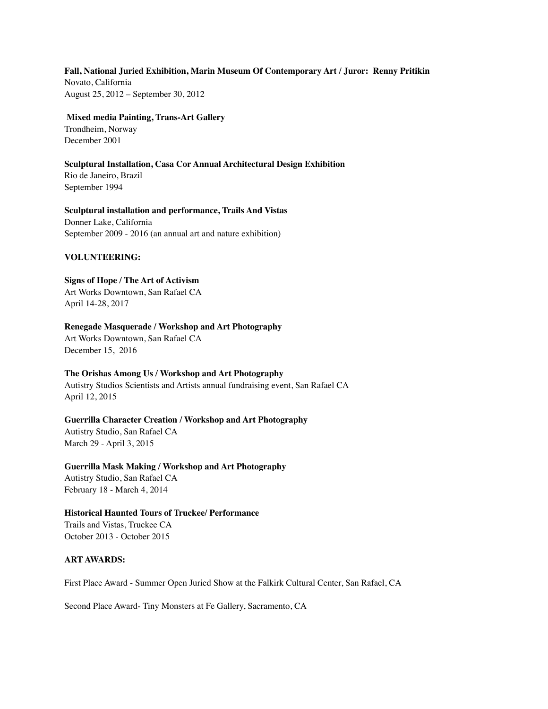#### **Fall, National Juried Exhibition, Marin Museum Of Contemporary Art / Juror: Renny Pritikin**

Novato, California August 25, 2012 – September 30, 2012

## **Mixed media Painting, Trans-Art Gallery**

Trondheim, Norway December 2001

# **Sculptural Installation, Casa Cor Annual Architectural Design Exhibition** Rio de Janeiro, Brazil September 1994

# **Sculptural installation and performance, Trails And Vistas** Donner Lake, California September 2009 - 2016 (an annual art and nature exhibition)

#### **VOLUNTEERING:**

## **Signs of Hope / The Art of Activism**

Art Works Downtown, San Rafael CA April 14-28, 2017

#### **Renegade Masquerade / Workshop and Art Photography**

Art Works Downtown, San Rafael CA December 15, 2016

# **The Orishas Among Us / Workshop and Art Photography**

Autistry Studios Scientists and Artists annual fundraising event, San Rafael CA April 12, 2015

## **Guerrilla Character Creation / Workshop and Art Photography**

Autistry Studio, San Rafael CA March 29 - April 3, 2015

## **Guerrilla Mask Making / Workshop and Art Photography**

Autistry Studio, San Rafael CA February 18 - March 4, 2014

## **Historical Haunted Tours of Truckee/ Performance**

Trails and Vistas, Truckee CA October 2013 - October 2015

## **ART AWARDS:**

First Place Award - Summer Open Juried Show at the Falkirk Cultural Center, San Rafael, CA

Second Place Award- Tiny Monsters at Fe Gallery, Sacramento, CA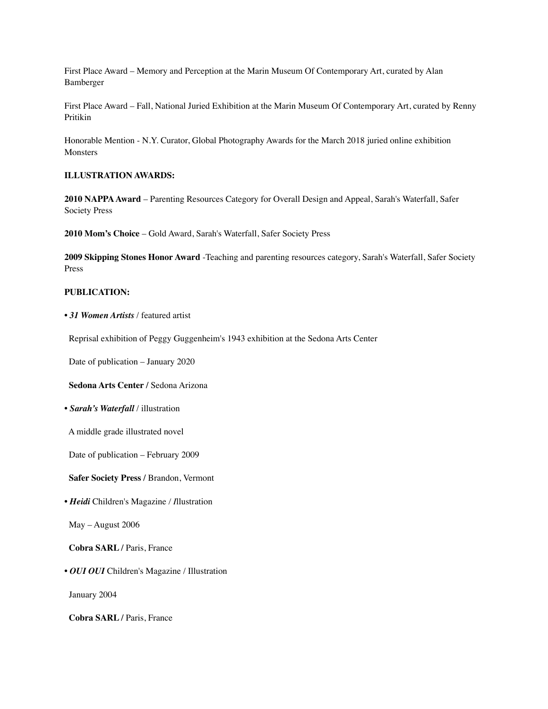First Place Award – Memory and Perception at the Marin Museum Of Contemporary Art, curated by Alan Bamberger

First Place Award – Fall, National Juried Exhibition at the Marin Museum Of Contemporary Art, curated by Renny Pritikin

Honorable Mention - N.Y. Curator, Global Photography Awards for the March 2018 juried online exhibition **Monsters** 

#### **ILLUSTRATION AWARDS:**

**2010 NAPPA Award** – Parenting Resources Category for Overall Design and Appeal, Sarah's Waterfall, Safer Society Press

**2010 Mom's Choice** – Gold Award, Sarah's Waterfall, Safer Society Press

**2009 Skipping Stones Honor Award** -Teaching and parenting resources category, Sarah's Waterfall, Safer Society Press

#### **PUBLICATION:**

• *31 Women Artists* / featured artist

Reprisal exhibition of Peggy Guggenheim's 1943 exhibition at the Sedona Arts Center

Date of publication – January 2020

 **Sedona Arts Center /** Sedona Arizona

*• Sarah's Waterfall* / illustration

A middle grade illustrated novel

Date of publication – February 2009

 **Safer Society Press /** Brandon, Vermont

*• Heidi* Children's Magazine */ I*llustration

May – August 2006

 **Cobra SARL /** Paris, France

*• OUI OUI* Children's Magazine / Illustration

January 2004

 **Cobra SARL /** Paris, France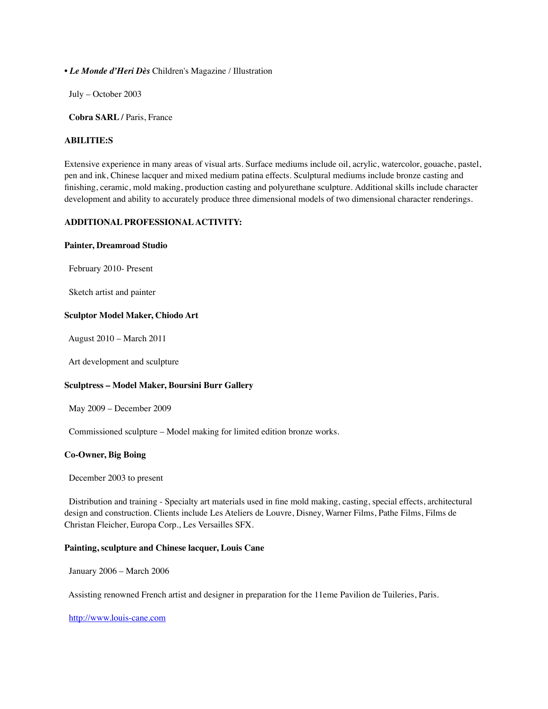*• Le Monde d'Heri Dès* Children's Magazine / Illustration

July – October 2003

 **Cobra SARL /** Paris, France

#### **ABILITIE:S**

Extensive experience in many areas of visual arts. Surface mediums include oil, acrylic, watercolor, gouache, pastel, pen and ink, Chinese lacquer and mixed medium patina effects. Sculptural mediums include bronze casting and finishing, ceramic, mold making, production casting and polyurethane sculpture. Additional skills include character development and ability to accurately produce three dimensional models of two dimensional character renderings.

#### **ADDITIONAL PROFESSIONAL ACTIVITY:**

#### **Painter, Dreamroad Studio**

February 2010- Present

Sketch artist and painter

#### **Sculptor Model Maker, Chiodo Art**

August 2010 – March 2011

Art development and sculpture

#### **Sculptress – Model Maker, Boursini Burr Gallery**

May 2009 – December 2009

Commissioned sculpture – Model making for limited edition bronze works.

#### **Co-Owner, Big Boing**

December 2003 to present

 Distribution and training - Specialty art materials used in fine mold making, casting, special effects, architectural design and construction. Clients include Les Ateliers de Louvre, Disney, Warner Films, Pathe Films, Films de Christan Fleicher, Europa Corp., Les Versailles SFX.

#### **Painting, sculpture and Chinese lacquer, Louis Cane**

January 2006 – March 2006

Assisting renowned French artist and designer in preparation for the 11eme Pavilion de Tuileries, Paris.

[http://www.louis-cane.com](http://www.louis-cane.com/)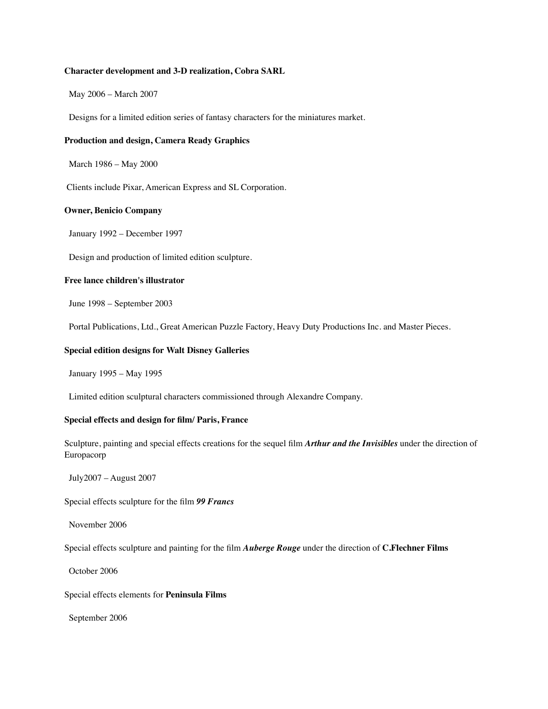#### **Character development and 3-D realization, Cobra SARL**

May 2006 – March 2007

Designs for a limited edition series of fantasy characters for the miniatures market.

#### **Production and design, Camera Ready Graphics**

March 1986 – May 2000

Clients include Pixar, American Express and SL Corporation.

#### **Owner, Benicio Company**

January 1992 – December 1997

Design and production of limited edition sculpture.

## **Free lance children's illustrator**

June 1998 – September 2003

Portal Publications, Ltd., Great American Puzzle Factory, Heavy Duty Productions Inc. and Master Pieces.

#### **Special edition designs for Walt Disney Galleries**

January 1995 – May 1995

Limited edition sculptural characters commissioned through Alexandre Company.

#### **Special effects and design for film/ Paris, France**

Sculpture, painting and special effects creations for the sequel film *Arthur and the Invisibles* under the direction of Europacorp

July2007 – August 2007

Special effects sculpture for the film *99 Francs*

November 2006

Special effects sculpture and painting for the film *Auberge Rouge* under the direction of **C.Flechner Films**

October 2006

Special effects elements for **Peninsula Films**

September 2006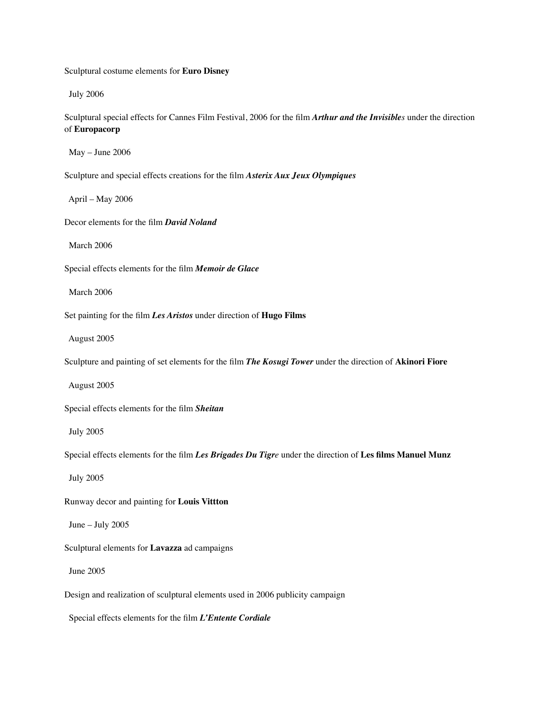Sculptural costume elements for **Euro Disney**

July 2006

Sculptural special effects for Cannes Film Festival, 2006 for the film *Arthur and the Invisibles* under the direction of **Europacorp**

May – June 2006

Sculpture and special effects creations for the film *Asterix Aux Jeux Olympiques*

April – May 2006

Decor elements for the film *David Noland*

March 2006

Special effects elements for the film *Memoir de Glace*

March 2006

Set painting for the film *Les Aristos* under direction of **Hugo Films**

August 2005

Sculpture and painting of set elements for the film *The Kosugi Tower* under the direction of **Akinori Fiore**

August 2005

Special effects elements for the film *Sheitan*

July 2005

Special effects elements for the film *Les Brigades Du Tigre* under the direction of **Les films Manuel Munz**

July 2005

Runway decor and painting for **Louis Vittton**

June – July 2005

Sculptural elements for **Lavazza** ad campaigns

June 2005

Design and realization of sculptural elements used in 2006 publicity campaign

Special effects elements for the film *L'Entente Cordiale*